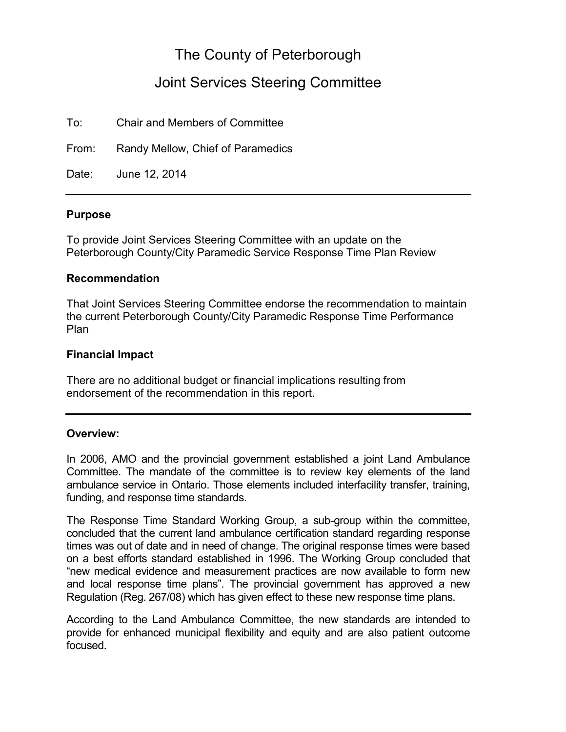# The County of Peterborough

# Joint Services Steering Committee

To: Chair and Members of Committee

From: Randy Mellow, Chief of Paramedics

Date: June 12, 2014

#### **Purpose**

To provide Joint Services Steering Committee with an update on the Peterborough County/City Paramedic Service Response Time Plan Review

#### **Recommendation**

That Joint Services Steering Committee endorse the recommendation to maintain the current Peterborough County/City Paramedic Response Time Performance Plan

#### **Financial Impact**

There are no additional budget or financial implications resulting from endorsement of the recommendation in this report.

#### **Overview:**

In 2006, AMO and the provincial government established a joint Land Ambulance Committee. The mandate of the committee is to review key elements of the land ambulance service in Ontario. Those elements included interfacility transfer, training, funding, and response time standards.

The Response Time Standard Working Group, a sub-group within the committee, concluded that the current land ambulance certification standard regarding response times was out of date and in need of change. The original response times were based on a best efforts standard established in 1996. The Working Group concluded that "new medical evidence and measurement practices are now available to form new and local response time plans". The provincial government has approved a new Regulation (Reg. 267/08) which has given effect to these new response time plans.

According to the Land Ambulance Committee, the new standards are intended to provide for enhanced municipal flexibility and equity and are also patient outcome focused.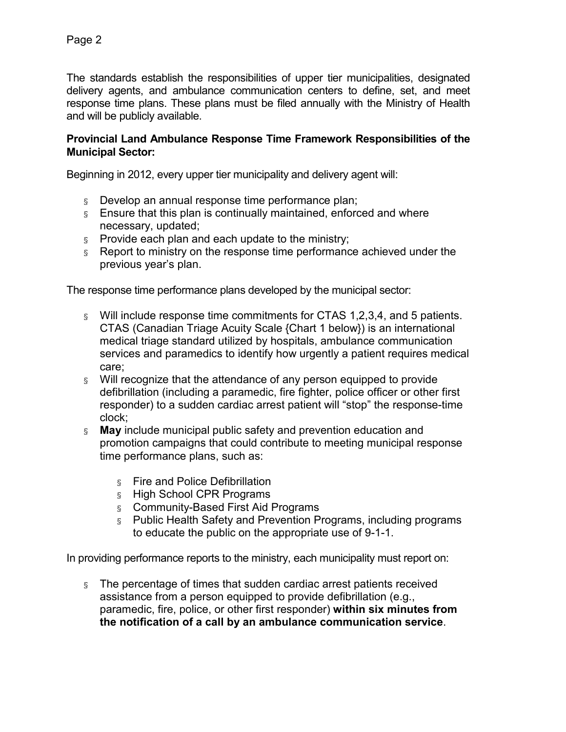The standards establish the responsibilities of upper tier municipalities, designated delivery agents, and ambulance communication centers to define, set, and meet response time plans. These plans must be filed annually with the Ministry of Health and will be publicly available.

#### **Provincial Land Ambulance Response Time Framework Responsibilities of the Municipal Sector:**

Beginning in 2[012, e](http://www.e-laws.gov.on.ca/html/regs/english/elaws_regs_000257_e.htm#BK9)very upper tier municipality and delivery agent will:

- § Develop an annual response time performance plan;
- § Ensure that this plan is continually maintained, enforced and where necessary, updated;
- $\delta$  Provide each plan and each update to the ministry;
- § Report to ministry on the response time performance achieved under the previous year's plan.

The response time performance plans developed by the municipal sector:

- § Will include response time commitments for CTAS 1,2,3,4, and 5 patients. CTAS (Canadian Triage Acuity Scale {Chart 1 below}) is an international medical triage standard utilized by hospitals, ambulance communication services and paramedics to identify how urgently a patient requires medical care;
- § Will recognize that the attendance of any person equipped to provide defibrillation (including a paramedic, fire fighter, police officer or other first responder) to a sudden cardiac arrest patient will "stop" the response-time clock;
- § **May** include municipal public safety and prevention education and promotion campaigns that could contribute to meeting municipal response time performance plans, such as:
	- § Fire and Police Defibrillation
	- § High School CPR Programs
	- § Community-Based First Aid Programs
	- § Public Health Safety and Prevention Programs, including programs to educate the public on the appropriate use of 9-1-1.

In providing performance reports to the ministry, each municipality must report on:

§ The percentage of times that sudden cardiac arrest patients received assistance from a person equipped to provide defibrillation (e.g., paramedic, fire, police, or other first responder) **within six minutes from the notification of a call by an ambulance communication service**.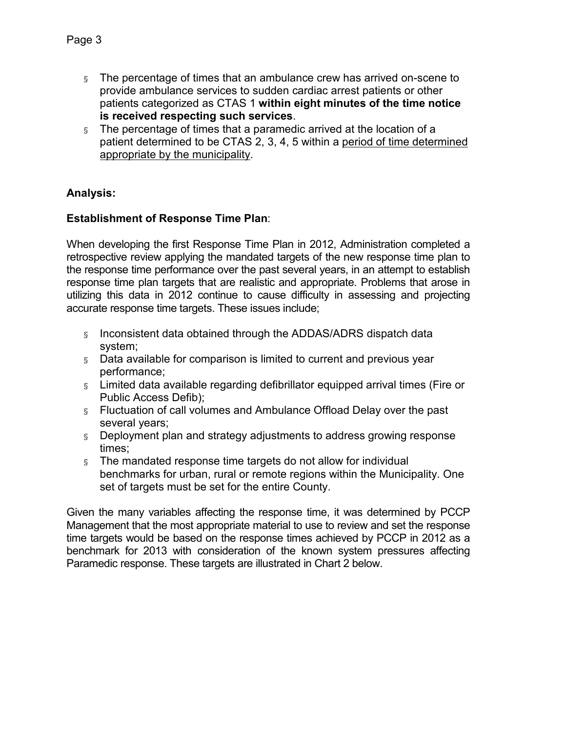- § The percentage of times that an ambulance crew has arrived on-scene to provide ambulance services to sudden cardiac arrest patients or other patients categorized as CTAS 1 **within eight minutes of the time notice is received respecting such services**.
- § The percentage of times that a paramedic arrived at the location of a patient determined to be CTAS 2, 3, 4, 5 within a period of time determined appropriate by the municipality.

# **Analysis:**

### **Establishment of Response Time Plan**:

When developing the first Response Time Plan in 2012, Administration completed a retrospective review applying the mandated targets of the new response time plan to the response time performance over the past several years, in an attempt to establish response time plan targets that are realistic and appropriate. Problems that arose in utilizing this data in 2012 continue to cause difficulty in assessing and projecting accurate response time targets. These issues include;

- § Inconsistent data obtained through the ADDAS/ADRS dispatch data system;
- § Data available for comparison is limited to current and previous year performance;
- § Limited data available regarding defibrillator equipped arrival times (Fire or Public Access Defib);
- § Fluctuation of call volumes and Ambulance Offload Delay over the past several years;
- § Deployment plan and strategy adjustments to address growing response times;
- § The mandated response time targets do not allow for individual benchmarks for urban, rural or remote regions within the Municipality. One set of targets must be set for the entire County.

Given the many variables affecting the response time, it was determined by PCCP Management that the most appropriate material to use to review and set the response time targets would be based on the response times achieved by PCCP in 2012 as a benchmark for 2013 with consideration of the known system pressures affecting Paramedic response. These targets are illustrated in Chart 2 below.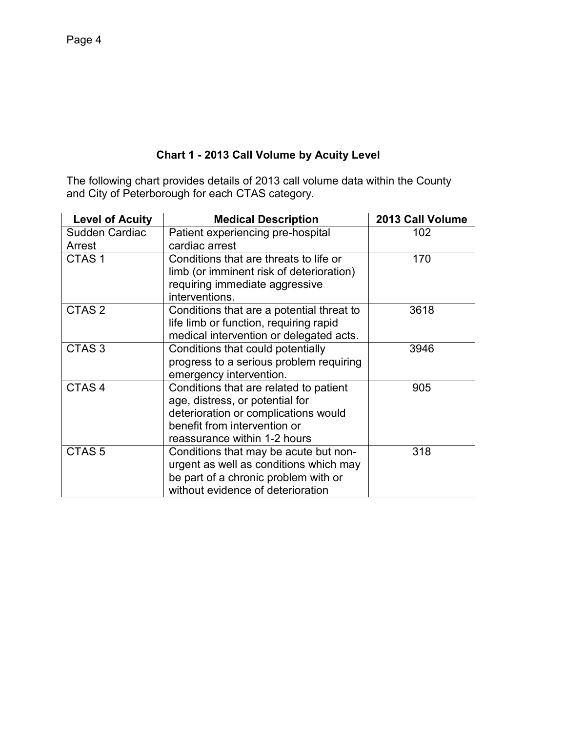# **Chart 1 - 2013 Call Volume by Acuity Level**

The following chart provides details of 2013 call volume data within the County and City of Peterborough for each CTAS category.

| <b>Level of Acuity</b> | <b>Medical Description</b>                | 2013 Call Volume |
|------------------------|-------------------------------------------|------------------|
| Sudden Cardiac         | Patient experiencing pre-hospital         | 102              |
| Arrest                 | cardiac arrest                            |                  |
| CTAS <sub>1</sub>      | Conditions that are threats to life or    | 170              |
|                        | limb (or imminent risk of deterioration)  |                  |
|                        | requiring immediate aggressive            |                  |
|                        | interventions.                            |                  |
| CTAS <sub>2</sub>      | Conditions that are a potential threat to | 3618             |
|                        | life limb or function, requiring rapid    |                  |
|                        | medical intervention or delegated acts.   |                  |
| CTAS <sub>3</sub>      | Conditions that could potentially         | 3946             |
|                        | progress to a serious problem requiring   |                  |
|                        | emergency intervention.                   |                  |
| CTAS <sub>4</sub>      | Conditions that are related to patient    | 905              |
|                        | age, distress, or potential for           |                  |
|                        | deterioration or complications would      |                  |
|                        | benefit from intervention or              |                  |
|                        | reassurance within 1-2 hours              |                  |
| CTAS <sub>5</sub>      | Conditions that may be acute but non-     | 318              |
|                        | urgent as well as conditions which may    |                  |
|                        | be part of a chronic problem with or      |                  |
|                        | without evidence of deterioration         |                  |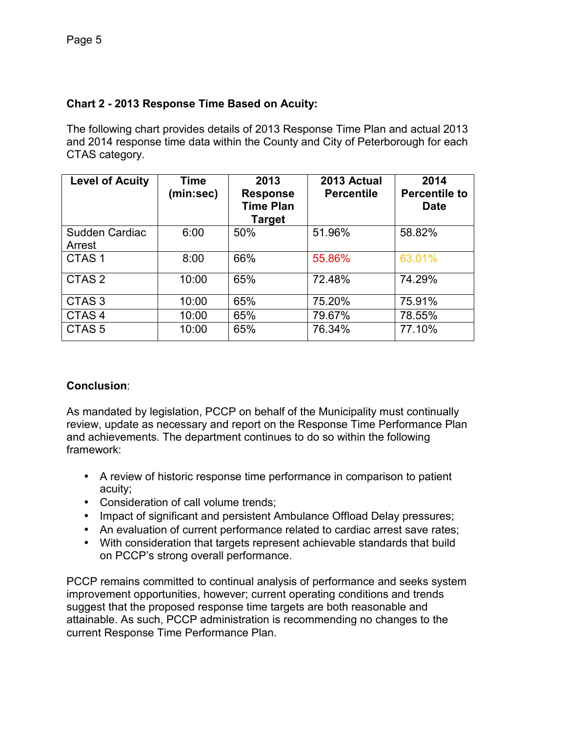## **Chart 2 - 2013 Response Time Based on Acuity:**

The following chart provides details of 2013 Response Time Plan and actual 2013 and 2014 response time data within the County and City of Peterborough for each CTAS category.

| <b>Level of Acuity</b>   | <b>Time</b><br>(min:sec) | 2013<br><b>Response</b><br><b>Time Plan</b><br><b>Target</b> | 2013 Actual<br><b>Percentile</b> | 2014<br><b>Percentile to</b><br><b>Date</b> |
|--------------------------|--------------------------|--------------------------------------------------------------|----------------------------------|---------------------------------------------|
| Sudden Cardiac<br>Arrest | 6:00                     | 50%                                                          | 51.96%                           | 58.82%                                      |
| CTAS <sub>1</sub>        | 8:00                     | 66%                                                          | 55.86%                           | 63.01%                                      |
| CTAS <sub>2</sub>        | 10:00                    | 65%                                                          | 72.48%                           | 74.29%                                      |
| CTAS <sub>3</sub>        | 10:00                    | 65%                                                          | 75.20%                           | 75.91%                                      |
| CTAS <sub>4</sub>        | 10:00                    | 65%                                                          | 79.67%                           | 78.55%                                      |
| CTAS <sub>5</sub>        | 10:00                    | 65%                                                          | 76.34%                           | 77.10%                                      |

### **Conclusion**:

As mandated by legislation, PCCP on behalf of the Municipality must continually review, update as necessary and report on the Response Time Performance Plan and achievements. The department continues to do so within the following framework:

- A review of historic response time performance in comparison to patient acuity;
- Consideration of call volume trends;
- Impact of significant and persistent Ambulance Offload Delay pressures;
- An evaluation of current performance related to cardiac arrest save rates;
- With consideration that targets represent achievable standards that build on PCCP's strong overall performance.

PCCP remains committed to continual analysis of performance and seeks system improvement opportunities, however; current operating conditions and trends suggest that the proposed response time targets are both reasonable and attainable. As such, PCCP administration is recommending no changes to the current Response Time Performance Plan.